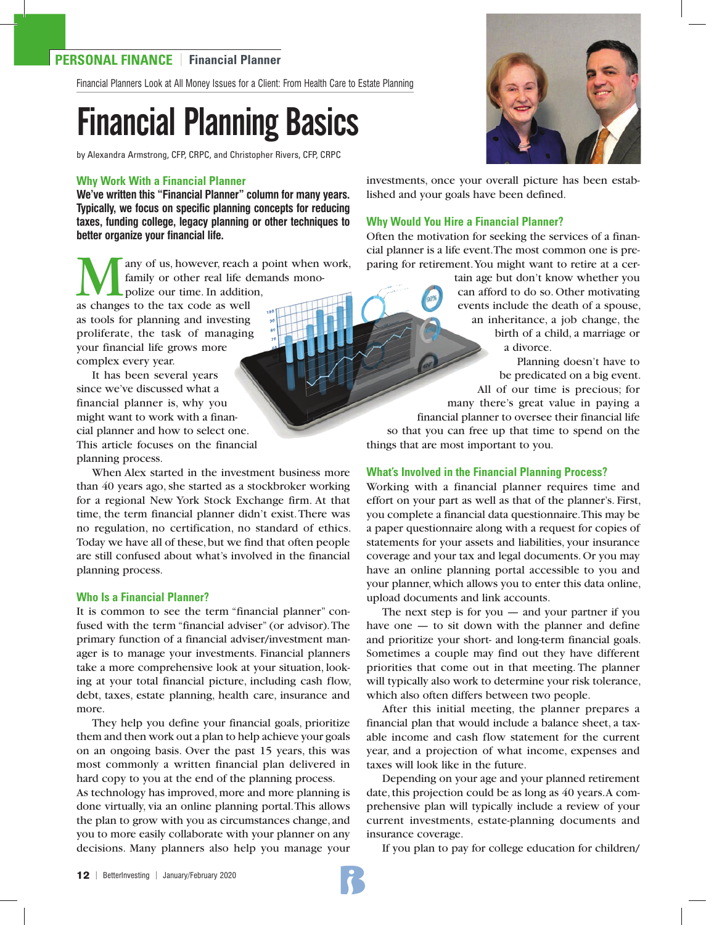### **PERSONAL FINANCE** | **Financial Planner**

Financial Planners Look at All Money Issues for a Client: From Health Care to Estate Planning

# Financial Planning Basics

by Alexandra Armstrong, CFP, CRPC, and Christopher Rivers, CFP, CRPC

#### **Why Work With a Financial Planner**

**We've written this "Financial Planner" column for many years. Typically, we focus on specific planning concepts for reducing taxes, funding college, legacy planning or other techniques to better organize your financial life.**

any of us, however, reach a point when work, family or other real life demands monopolize our time. In addition, as changes to the tax code as well as tools for planning and investing proliferate, the task of managing your financial life grows more complex every year. It has been several years

since we've discussed what a financial planner is, why you might want to work with a financial planner and how to select one. This article focuses on the financial planning process.

When Alex started in the investment business more than 40 years ago, she started as a stockbroker working for a regional New York Stock Exchange firm. At that time, the term financial planner didn't exist. There was no regulation, no certification, no standard of ethics. Today we have all of these, but we find that often people are still confused about what's involved in the financial planning process.

#### **Who Is a Financial Planner?**

It is common to see the term "financial planner" confused with the term "financial adviser" (or advisor). The primary function of a financial adviser/investment manager is to manage your investments. Financial planners take a more comprehensive look at your situation, looking at your total financial picture, including cash flow, debt, taxes, estate planning, health care, insurance and more.

They help you define your financial goals, prioritize them and then work out a plan to help achieve your goals on an ongoing basis. Over the past 15 years, this was most commonly a written financial plan delivered in hard copy to you at the end of the planning process.

As technology has improved, more and more planning is done virtually, via an online planning portal. This allows the plan to grow with you as circumstances change, and you to more easily collaborate with your planner on any decisions. Many planners also help you manage your



investments, once your overall picture has been established and your goals have been defined.

#### **Why Would You Hire a Financial Planner?**

Often the motivation for seeking the services of a financial planner is a life event. The most common one is preparing for retirement. You might want to retire at a cer-

> tain age but don't know whether you can afford to do so. Other motivating events include the death of a spouse, an inheritance, a job change, the birth of a child, a marriage or a divorce.

 Planning doesn't have to be predicated on a big event. All of our time is precious; for many there's great value in paying a financial planner to oversee their financial life so that you can free up that time to spend on the

things that are most important to you.

#### **What's Involved in the Financial Planning Process?**

Working with a financial planner requires time and effort on your part as well as that of the planner's. First, you complete a financial data questionnaire. This may be a paper questionnaire along with a request for copies of statements for your assets and liabilities, your insurance coverage and your tax and legal documents. Or you may have an online planning portal accessible to you and your planner, which allows you to enter this data online, upload documents and link accounts.

The next step is for you  $-$  and your partner if you have one — to sit down with the planner and define and prioritize your short- and long-term financial goals. Sometimes a couple may find out they have different priorities that come out in that meeting. The planner will typically also work to determine your risk tolerance, which also often differs between two people.

After this initial meeting, the planner prepares a financial plan that would include a balance sheet, a taxable income and cash flow statement for the current year, and a projection of what income, expenses and taxes will look like in the future.

Depending on your age and your planned retirement date, this projection could be as long as 40 years. A comprehensive plan will typically include a review of your current investments, estate-planning documents and insurance coverage.

If you plan to pay for college education for children/